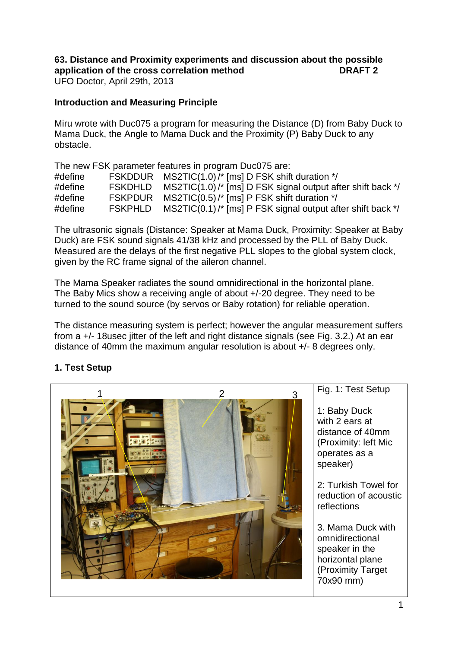# **63. Distance and Proximity experiments and discussion about the possible application of the cross correlation method DRAFT 2**

UFO Doctor, April 29th, 2013

#### **Introduction and Measuring Principle**

Miru wrote with Duc075 a program for measuring the Distance (D) from Baby Duck to Mama Duck, the Angle to Mama Duck and the Proximity (P) Baby Duck to any obstacle.

The new FSK parameter features in program Duc075 are:

| #define |                | FSKDDUR MS2TIC(1.0)/* [ms] D FSK shift duration */         |  |
|---------|----------------|------------------------------------------------------------|--|
| #define | <b>FSKDHLD</b> | MS2TIC(1.0)/* [ms] D FSK signal output after shift back */ |  |
| #define | <b>FSKPDUR</b> | MS2TIC(0.5)/ $*$ [ms] P FSK shift duration $*$ /           |  |
| #define | <b>FSKPHLD</b> | MS2TIC(0.1)/* [ms] P FSK signal output after shift back */ |  |

The ultrasonic signals (Distance: Speaker at Mama Duck, Proximity: Speaker at Baby Duck) are FSK sound signals 41/38 kHz and processed by the PLL of Baby Duck. Measured are the delays of the first negative PLL slopes to the global system clock, given by the RC frame signal of the aileron channel.

The Mama Speaker radiates the sound omnidirectional in the horizontal plane. The Baby Mics show a receiving angle of about +/-20 degree. They need to be turned to the sound source (by servos or Baby rotation) for reliable operation.

The distance measuring system is perfect; however the angular measurement suffers from a +/- 18usec jitter of the left and right distance signals (see Fig. 3.2.) At an ear distance of 40mm the maximum angular resolution is about +/- 8 degrees only.

# **1. Test Setup**

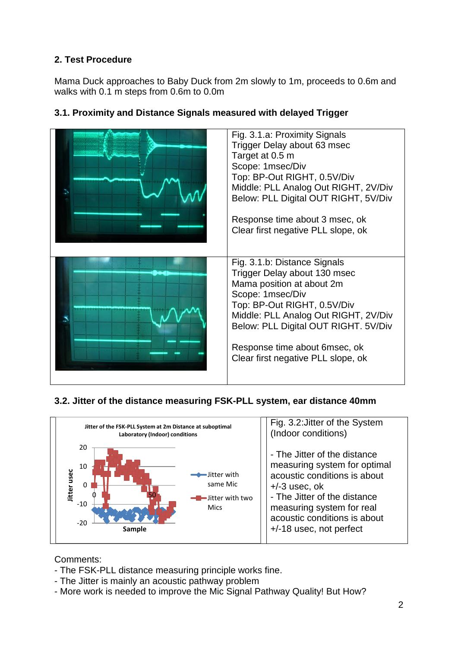# **2. Test Procedure**

Mama Duck approaches to Baby Duck from 2m slowly to 1m, proceeds to 0.6m and walks with 0.1 m steps from 0.6m to 0.0m

| Fig. 3.1.a: Proximity Signals<br>Trigger Delay about 63 msec<br>Target at 0.5 m<br>Scope: 1msec/Div<br>Top: BP-Out RIGHT, 0.5V/Div<br>Middle: PLL Analog Out RIGHT, 2V/Div<br>Below: PLL Digital OUT RIGHT, 5V/Div           |
|------------------------------------------------------------------------------------------------------------------------------------------------------------------------------------------------------------------------------|
| Response time about 3 msec, ok<br>Clear first negative PLL slope, ok                                                                                                                                                         |
| Fig. 3.1.b: Distance Signals<br>Trigger Delay about 130 msec<br>Mama position at about 2m<br>Scope: 1msec/Div<br>Top: BP-Out RIGHT, 0.5V/Div<br>Middle: PLL Analog Out RIGHT, 2V/Div<br>Below: PLL Digital OUT RIGHT. 5V/Div |
| Response time about 6msec, ok<br>Clear first negative PLL slope, ok                                                                                                                                                          |

#### **3.1. Proximity and Distance Signals measured with delayed Trigger**

#### **3.2. Jitter of the distance measuring FSK-PLL system, ear distance 40mm**



# Comments:

- The FSK-PLL distance measuring principle works fine.
- The Jitter is mainly an acoustic pathway problem
- More work is needed to improve the Mic Signal Pathway Quality! But How?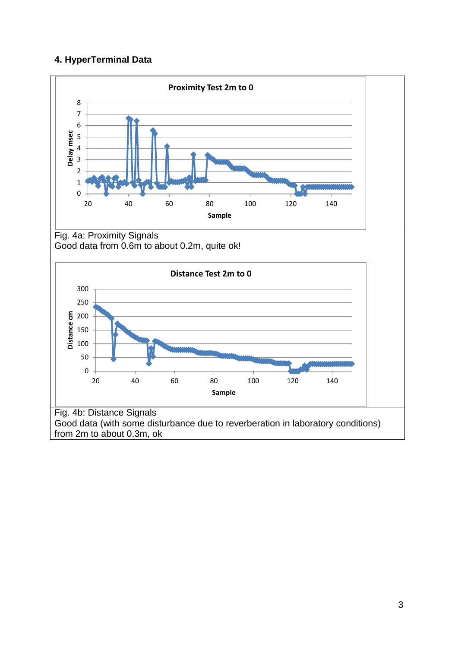# **4. HyperTerminal Data**

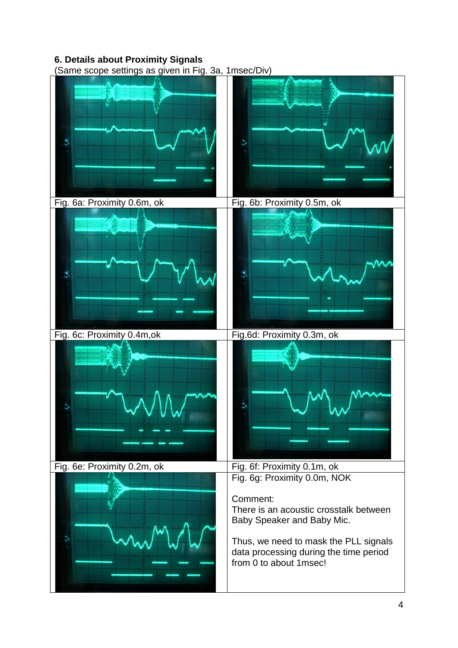# **6. Details about Proximity Signals**

(Same scope settings as given in Fig. 3a, 1msec/Div)

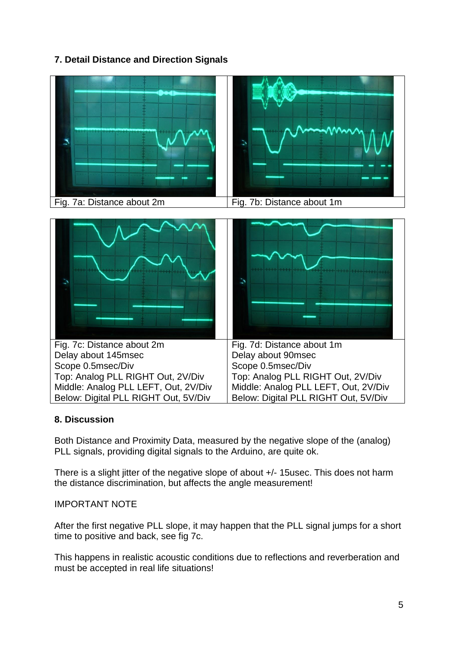# **7. Detail Distance and Direction Signals**



#### **8. Discussion**

Both Distance and Proximity Data, measured by the negative slope of the (analog) PLL signals, providing digital signals to the Arduino, are quite ok.

There is a slight jitter of the negative slope of about  $+/-$  15usec. This does not harm the distance discrimination, but affects the angle measurement!

#### IMPORTANT NOTE

After the first negative PLL slope, it may happen that the PLL signal jumps for a short time to positive and back, see fig 7c.

This happens in realistic acoustic conditions due to reflections and reverberation and must be accepted in real life situations!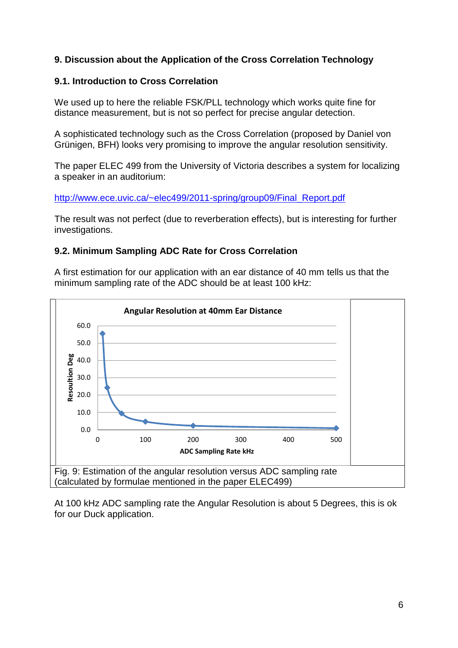#### **9. Discussion about the Application of the Cross Correlation Technology**

#### **9.1. Introduction to Cross Correlation**

We used up to here the reliable FSK/PLL technology which works quite fine for distance measurement, but is not so perfect for precise angular detection.

A sophisticated technology such as the Cross Correlation (proposed by Daniel von Grünigen, BFH) looks very promising to improve the angular resolution sensitivity.

The paper ELEC 499 from the University of Victoria describes a system for localizing a speaker in an auditorium:

[http://www.ece.uvic.ca/~elec499/2011-spring/group09/Final\\_Report.pdf](http://www.ece.uvic.ca/~elec499/2011-spring/group09/Final_Report.pdf)

The result was not perfect (due to reverberation effects), but is interesting for further investigations.

#### **9.2. Minimum Sampling ADC Rate for Cross Correlation**

A first estimation for our application with an ear distance of 40 mm tells us that the minimum sampling rate of the ADC should be at least 100 kHz:



At 100 kHz ADC sampling rate the Angular Resolution is about 5 Degrees, this is ok for our Duck application.